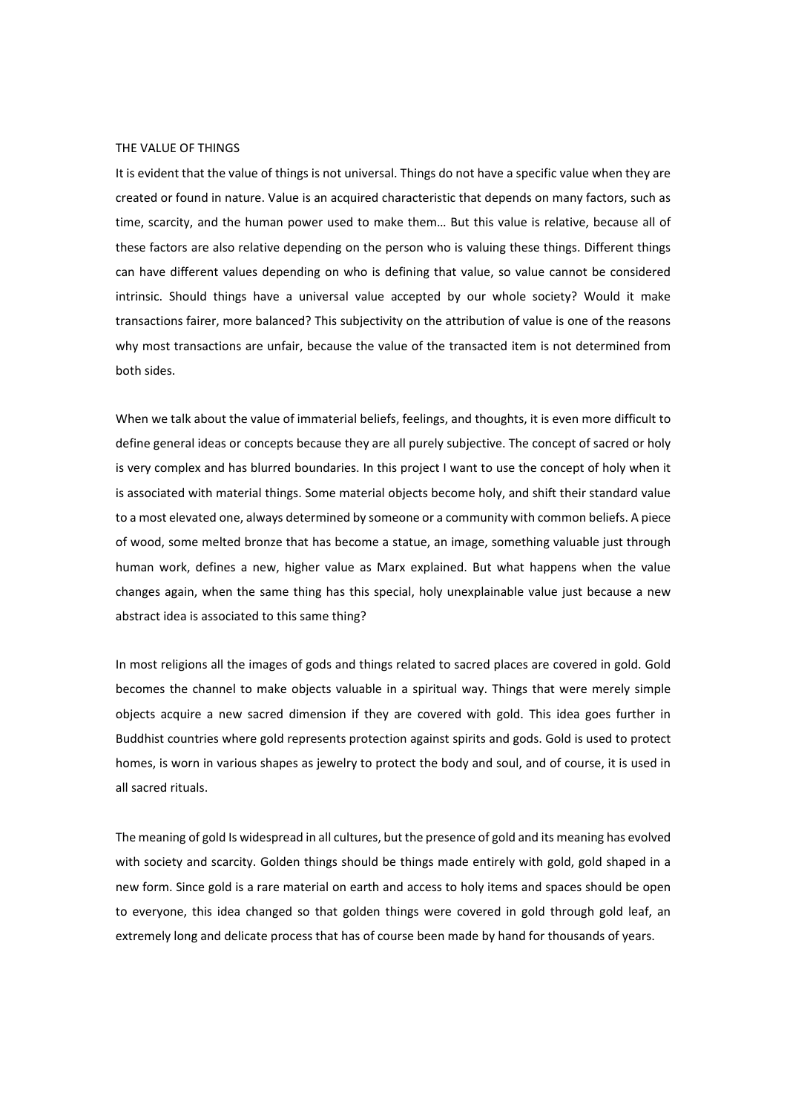## THE VALUE OF THINGS

It is evident that the value of things is not universal. Things do not have a specific value when they are created or found in nature. Value is an acquired characteristic that depends on many factors, such as time, scarcity, and the human power used to make them… But this value is relative, because all of these factors are also relative depending on the person who is valuing these things. Different things can have different values depending on who is defining that value, so value cannot be considered intrinsic. Should things have a universal value accepted by our whole society? Would it make transactions fairer, more balanced? This subjectivity on the attribution of value is one of the reasons why most transactions are unfair, because the value of the transacted item is not determined from both sides.

When we talk about the value of immaterial beliefs, feelings, and thoughts, it is even more difficult to define general ideas or concepts because they are all purely subjective. The concept of sacred or holy is very complex and has blurred boundaries. In this project I want to use the concept of holy when it is associated with material things. Some material objects become holy, and shift their standard value to a most elevated one, always determined by someone or a community with common beliefs. A piece of wood, some melted bronze that has become a statue, an image, something valuable just through human work, defines a new, higher value as Marx explained. But what happens when the value changes again, when the same thing has this special, holy unexplainable value just because a new abstract idea is associated to this same thing?

In most religions all the images of gods and things related to sacred places are covered in gold. Gold becomes the channel to make objects valuable in a spiritual way. Things that were merely simple objects acquire a new sacred dimension if they are covered with gold. This idea goes further in Buddhist countries where gold represents protection against spirits and gods. Gold is used to protect homes, is worn in various shapes as jewelry to protect the body and soul, and of course, it is used in all sacred rituals.

The meaning of gold Is widespread in all cultures, but the presence of gold and its meaning has evolved with society and scarcity. Golden things should be things made entirely with gold, gold shaped in a new form. Since gold is a rare material on earth and access to holy items and spaces should be open to everyone, this idea changed so that golden things were covered in gold through gold leaf, an extremely long and delicate process that has of course been made by hand for thousands of years.